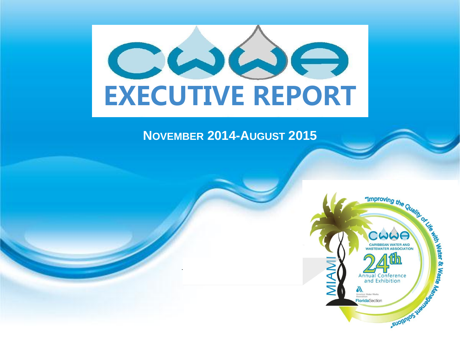

#### **NOVEMBER 2014-AUGUST 2015**

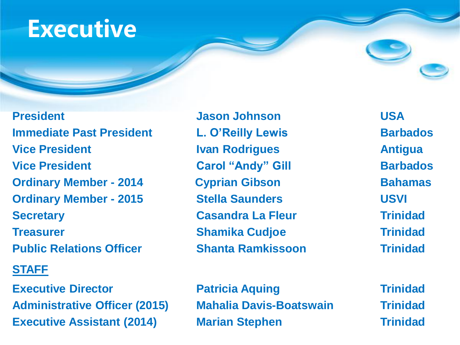## **Executive**

**Immediate Past President L. O'Reilly Lewis Barbados Vice President Ivan Rodrigues Antigua Vice President Carol "Andy" Gill Barbados Ordinary Member - 2014 Cyprian Gibson Bahamas Ordinary Member - 2015 Stella Saunders USVI Secretary <b>Casandra La Fleur Trinidad Treasurer Treasurer** *Shamika Cudjoe* **Trinidad Public Relations Officer Shanta Ramkissoon Trinidad**

#### **STAFF**

**Executive Director <b>Patricia Aquing Trinidad Administrative Officer (2015) Mahalia Davis-Boatswain Trinidad Executive Assistant (2014) Marian Stephen Trinidad**

**President Construction USA** and Jason Johnson Construction USA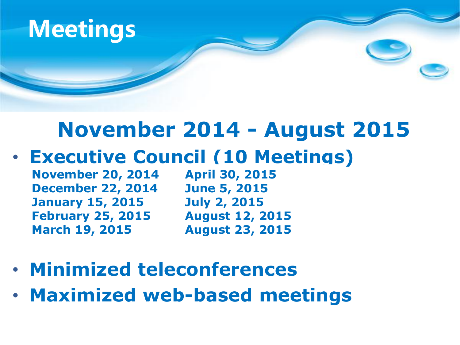

#### **November 2014 - August 2015**

• **Executive Council (10 Meetings)**

**November 20, 2014 December 22, 2014 January 15, 2015 February 25, 2015 March 19, 2015**

**April 30, 2015 June 5, 2015 July 2, 2015 August 12, 2015 August 23, 2015**

- **Minimized teleconferences**
- **Maximized web-based meetings**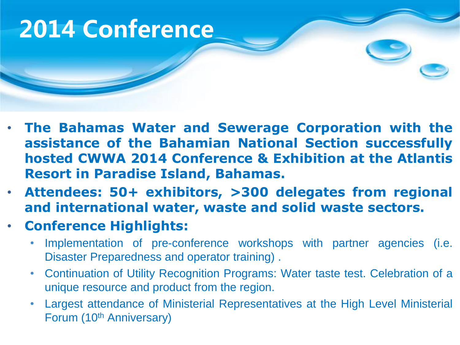# **2014 Conference**

- **The Bahamas Water and Sewerage Corporation with the assistance of the Bahamian National Section successfully hosted CWWA 2014 Conference & Exhibition at the Atlantis Resort in Paradise Island, Bahamas.**
- **Attendees: 50+ exhibitors, >300 delegates from regional and international water, waste and solid waste sectors.**
- **Conference Highlights:**
	- Implementation of pre-conference workshops with partner agencies (i.e. Disaster Preparedness and operator training) .
	- Continuation of Utility Recognition Programs: Water taste test. Celebration of a unique resource and product from the region.
	- Largest attendance of Ministerial Representatives at the High Level Ministerial Forum (10<sup>th</sup> Anniversary)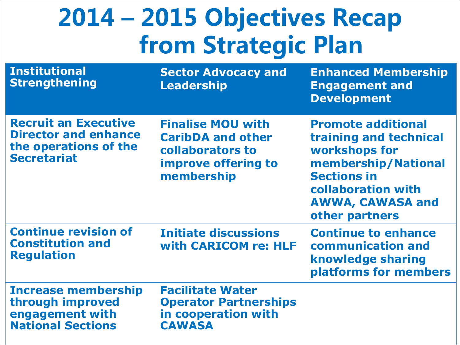# **2014 – 2015 Objectives Recap from Strategic Plan**

| <b>Institutional</b><br><b>Strengthening</b>                                                              | <b>Sector Advocacy and</b><br><b>Leadership</b>                                                                      | <b>Enhanced Membership</b><br><b>Engagement and</b><br><b>Development</b>                                                                                                            |
|-----------------------------------------------------------------------------------------------------------|----------------------------------------------------------------------------------------------------------------------|--------------------------------------------------------------------------------------------------------------------------------------------------------------------------------------|
| <b>Recruit an Executive</b><br><b>Director and enhance</b><br>the operations of the<br><b>Secretariat</b> | <b>Finalise MOU with</b><br><b>CaribDA and other</b><br>collaborators to<br><b>improve offering to</b><br>membership | <b>Promote additional</b><br>training and technical<br>workshops for<br>membership/National<br><b>Sections in</b><br>collaboration with<br><b>AWWA, CAWASA and</b><br>other partners |
| <b>Continue revision of</b><br><b>Constitution and</b><br><b>Regulation</b>                               | <b>Initiate discussions</b><br>with CARICOM re: HLF                                                                  | <b>Continue to enhance</b><br>communication and<br>knowledge sharing<br>platforms for members                                                                                        |
| <b>Increase membership</b><br>through improved<br>engagement with<br><b>National Sections</b>             | <b>Facilitate Water</b><br><b>Operator Partnerships</b><br>in cooperation with<br><b>CAWASA</b>                      |                                                                                                                                                                                      |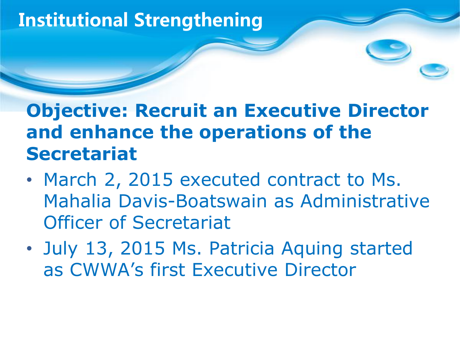### **Institutional Strengthening**

#### **Objective: Recruit an Executive Director and enhance the operations of the Secretariat**

- March 2, 2015 executed contract to Ms. Mahalia Davis-Boatswain as Administrative Officer of Secretariat
- July 13, 2015 Ms. Patricia Aquing started as CWWA's first Executive Director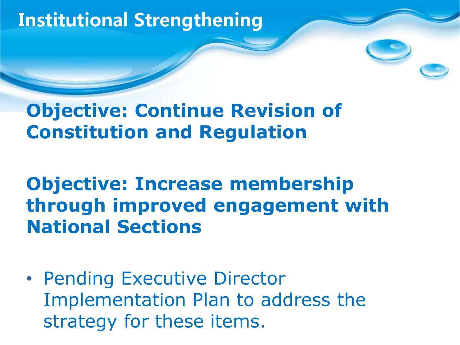### **Institutional Strengthening**

#### **Objective: Continue Revision of Constitution and Regulation**

#### **Objective: Increase membership through improved engagement with National Sections**

• Pending Executive Director Implementation Plan to address the strategy for these items.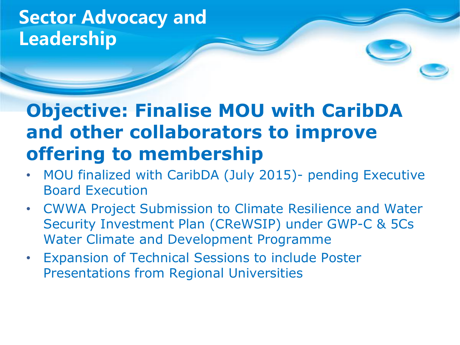#### **Sector Advocacy and Leadership**

#### **Objective: Finalise MOU with CaribDA and other collaborators to improve offering to membership**

- MOU finalized with CaribDA (July 2015)- pending Executive Board Execution
- CWWA Project Submission to Climate Resilience and Water Security Investment Plan (CReWSIP) under GWP-C & 5Cs Water Climate and Development Programme
- **Expansion of Technical Sessions to include Poster** Presentations from Regional Universities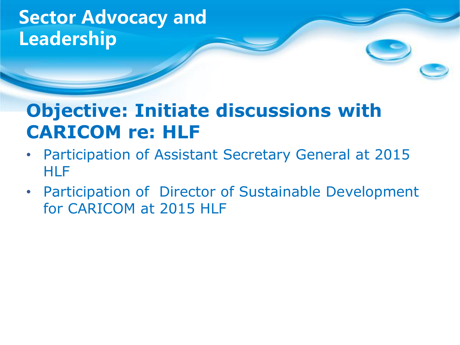#### **Sector Advocacy and Leadership**

#### **Objective: Initiate discussions with CARICOM re: HLF**

- Participation of Assistant Secretary General at 2015 **HLF**
- Participation of Director of Sustainable Development for CARICOM at 2015 HLF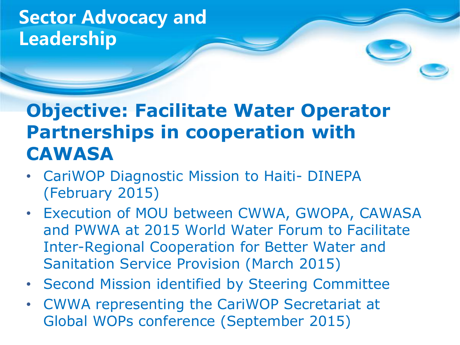#### **Sector Advocacy and Leadership**

#### **Objective: Facilitate Water Operator Partnerships in cooperation with CAWASA**

- CariWOP Diagnostic Mission to Haiti- DINEPA (February 2015)
- Execution of MOU between CWWA, GWOPA, CAWASA and PWWA at 2015 World Water Forum to Facilitate Inter-Regional Cooperation for Better Water and Sanitation Service Provision (March 2015)
- Second Mission identified by Steering Committee
- CWWA representing the CariWOP Secretariat at Global WOPs conference (September 2015)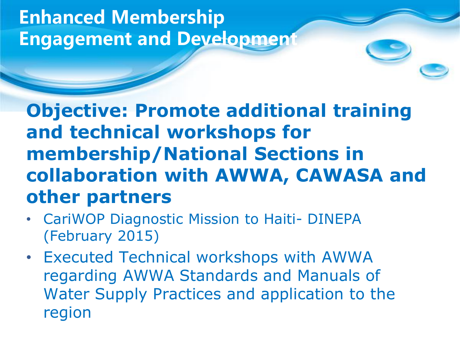#### **Enhanced Membership Engagement and Development**

**Objective: Promote additional training and technical workshops for membership/National Sections in collaboration with AWWA, CAWASA and other partners**

- CariWOP Diagnostic Mission to Haiti- DINEPA (February 2015)
- Executed Technical workshops with AWWA regarding AWWA Standards and Manuals of Water Supply Practices and application to the region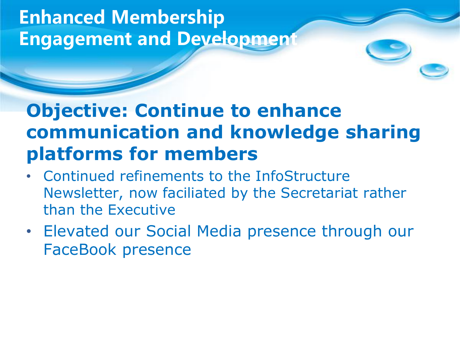#### **Enhanced Membership Engagement and Development**

#### **Objective: Continue to enhance communication and knowledge sharing platforms for members**

- Continued refinements to the InfoStructure Newsletter, now faciliated by the Secretariat rather than the Executive
- Elevated our Social Media presence through our FaceBook presence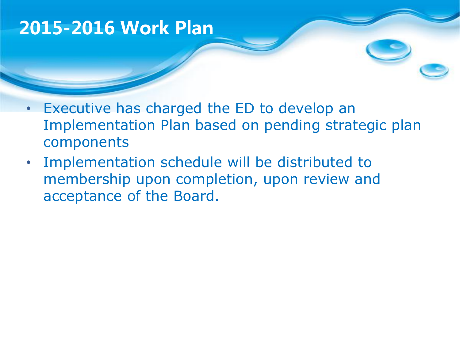#### **2015-2016 Work Plan**

- Executive has charged the ED to develop an Implementation Plan based on pending strategic plan components
- Implementation schedule will be distributed to membership upon completion, upon review and acceptance of the Board.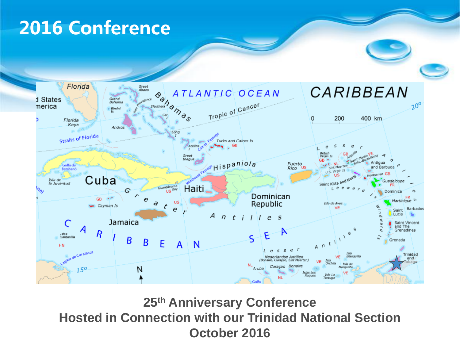### **2016 Conference**



**25th Anniversary Conference Hosted in Connection with our Trinidad National Section October 2016**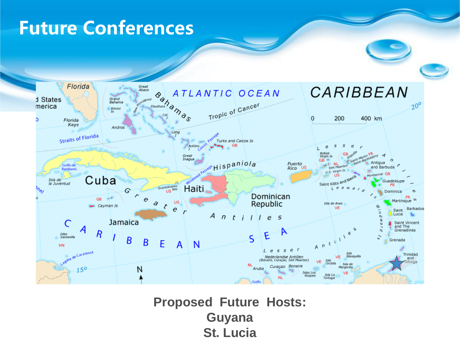#### **Future Conferences**



**Proposed Future Hosts: Guyana St. Lucia**